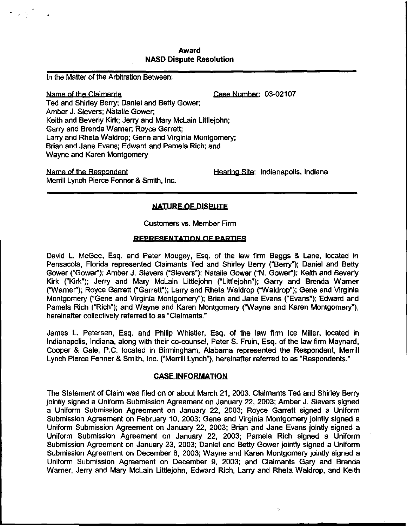# Award NASD Dispute Resolution

In the Matter of the Arbitration Between:

Name of the Claimants **Case Number:** 03-02107 Ted and Shirley Berry; Daniel and Betty Gower; Amber J. Sievers; Natalie Gower; Keith and Beverly Kirk; Jerry and Mary McLain Littlejohn; Garry and Brenda Warner; Royce Garrett; Larry and Rheta Waldrop; Gene and Virginia Montgomery; Brian and Jane Evans; Edward and Pamela Rich; and Wayne and Karen Montgomery

Name of the Respondent The Accord Hearing Site: Indianapolis, Indiana Merrill Lynch Pierce Fenner & Smith, Inc.

# **NATURE OF DISPUTE**

Customers vs. Member Firm

# REPRESENTATION OF PARTIES

David L. McGee, Esq. and Peter Mougey, Esq. of the law firm Beggs & Lane, located in Pensacola, Florida represented Claimants Ted and Shirley Berry ("Berry"); Daniel and Betty Gower ("Gower"); Arnber J. Sievers ("Sievers"); Natalie Gower ("N. Gower"); Keith and Beverly Kirk ("Kirk"); Jerry and Mary McLain Littlejohn ("Littlejohn"); Garry and Brenda Warner ("Warner"); Royce Garrett ("Garrett"); Larry and Rheta Waldrop ("Waldrop"); Gene and Virginia Montgomery ("Gene and Virginia Montgomery"); Brian and Jane Evans ("Evans"); Edward and Pamela Rich ("Rich"); and Wayne and Karen Montgomery ("Wayne and Karen Montgomery'), hereinafter collectively referred to as "Claimants."

James L. Petersen, Esq. and Philip Whistler, Esq. of the law firm Ice Miller, located in Indianapolis, Indiana, along with their co-counsel, Peter S. Fruin, Esq. of the law firm Maynard, Cooper & Gale, P.C. located in Birmingham, Alabama represented the Respondent, Merrill Lynch Pierce Fenner & Smith, Inc. ("Merrill Lynch"), hereinafter referred to as "Respondents."

# **CASE INFORMATION**

The Statement of Claim was filed on or about March 21 , 2003. Claimants Ted and Shirley Berry jointly signed a Uniform Submission Agreement on January 22, 2003; Amber J. Sievers signed a Uniform Submission Agreement on January 22, 2003; Royce Garrett signed a Uniform Submission Agreement on February 10, 2003; Gene and Virginia Montgomery jointly signed a Uniform Submission Agreement on January 22, 2003; Brian and Jane Evans jointly signed a Uniform Submission Agreement on January 22, 2003; Pamela Rich signed a Uniform Submission Agreement on January 23, 2003; Daniel and Betty Gower jointly signed a Uniform Submission Agreement on December 8, 2003; Wayne and Karen Montgomery jointly signed a Uniform Submission Agreement on December 9, 2003; and Claimants Gary and Brenda Warner, Jerry and Mary McLain Littlejohn, Edward Rich, Larry and Rheta Waldrop, and Keith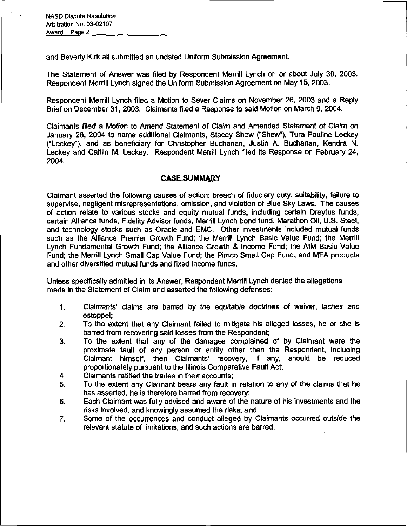and Beverly Kirk all submitted an undated Uniform Submission Agreement.

The Statement of Answer was filed by Respondent Merrill Lynch on or about July 30, 2003. Respondent Merrill Lynch signed the Uniform Submission Agreement on May 15, 2003.

Respondent Merrill Lynch filed a Motion to Sever Claims on November 26, 2003 and a Reply Brief on December 31, 2003. Claimants filed a Response to said Motion on March 9, 2004.

Claimants filed a Motion to Amend Statement of Claim and Amended Statement of Claim on January 26, 2004 to name additional Claimants, Stacey Shew ("Shew"), Tura Pauline Leckey ("Leckey"), and as beneficiary for Christopher Buchanan, Justin A. Buchanan, Kendra N. Leckey and Caitlin M. Leckey. Respondent Merrill Lynch filed its Response on February 24, 2004.

# **CASE SUMMARY**

Claimant asserted the following causes of action: breach of fiduciary duty, suitability, failure to supervise, negligent misrepresentations, omission, and violation of Blue Sky Laws. The causes of action relate to various stocks and equity mutual funds, including certain Dreyfus funds, certain Alliance funds, Fidelity Advisor funds, Merrill Lynch bond fund, Marathon Oil, U.S. Steel, and technology stocks such as Oracle and EMC. Other investments included mutual funds such as the Alliance Premier Growth Fund; the Merrill Lynch Basic Value Fund; the Merrill Lynch Fundamental Growth Fund; the Alliance Growth & Income Fund; the AIM Basic Value Fund; the Merrill Lynch Small Cap Value Fund; the Pimco Small Cap Fund, and MFA products and other diversified mutual funds and fixed income funds.

Unless specifically admitted in its Answer, Respondent Merrill Lynch denied the allegations made in the Statement of Claim and asserted the following defenses:

- 1. Claimants' claims are barred by the equitable doctrines of waiver, laches and estoppel;
- 2. To the extent that any Claimant failed to mitigate his alleged losses, he or she is barred from recovering said losses from the Respondent;
- 3. To the extent that any of the damages complained of by Claimant were the proximate fault of any person or entity other than the Respondent, including Claimant himself, then Claimants' recovery, if any, should be reduced proportionately pursuant to the Illinois Comparative Fault Act;
- 4. Claimants ratified the trades in their accounts;
- 5. To the extent any Claimant bears any fault in relation to any of the claims that he has asserted, he is therefore barred from recovery;
- 6. Each Claimant was fully advised and aware of the nature of his investments and the risks involved, and knowingly assumed the risks; and
- 7. Some of the occurrences and conduct alleged by Claimants occurred outside the relevant statute of limitations, and such actions are barred.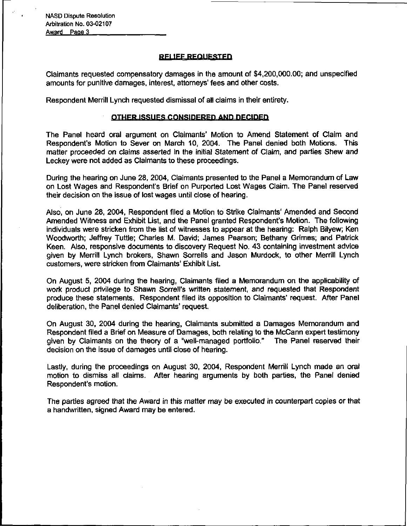NASD Dispute Resolution Arbitration No. 03-02107 Award Page 3

# **RELIEF REQUESTED**

Claimants requested compensatory damages in the amount of \$4,200,000.00; and unspecified amounts for punitive damages, interest, attorneys' fees and other costs.

Respondent Merrill Lynch requested dismissal of all claims in their entirety.

# OTHER ISSUES CONSIDERED AND DECIDED

The Panel heard oral argument on Claimants' Motion to Amend Statement of Claim and Respondent's Motion to Sever on March 10, 2004. The Panel denied both Motions. This matter proceeded on claims asserted in the initial Statement of Claim, and parties Shew and Leckey were not added as Claimants to these proceedings.

During the hearing on June 28, 2004, Claimants presented to the Panel a Memorandum of Law on Lost Wages and Respondent's Brief on Purported Lost Wages Claim. The Panel reserved their decision on the issue of lost wages until close of hearing.

Also, on June 28, 2004, Respondent filed a Motion to Strike Claimants' Amended and Second Amended Witness and Exhibit List, and the Panel granted Respondent's Motion. The following individuals were stricken from the list of witnesses to appear at the hearing: Ralph Bilyew; Ken Woodworth; Jeffrey Tuttle; Charles M. David; James Pearson; Bethany Grimes; and Patrick Keen. Also, responsive documents to discovery Request No. 43 containing investment advice given by Merrill Lynch brokers, Shawn Sorrells and Jason Murdock, to other Merrill Lynch customers, were stricken from Claimants' Exhibit List.

On August 5, 2004 during the hearing, Claimants filed a Memorandum on the applicability of work product privilege to Shawn Sorrell's written statement, and requested that Respondent produce these statements. Respondent filed its opposition to Claimants' request. After Panel deliberation, the Panel denied Claimants' request.

On August 30, 2004 during the hearing, Claimants submitted a Damages Memorandum and Respondent filed a Brief on Measure of Damages, both relating to the McCann expert testimony given by Claimants on the theory of a "well-managed portfolio." The Panel reserved their decision on the issue of damages until close of hearing.

Lastly, during the proceedings on August 30, 2004, Respondent Merrill Lynch made an oral motion to dismiss all claims. After hearing arguments by both parties, the Panel denied Respondent's motion.

The parties agreed that the Award in this matter may be executed in counterpart copies or that a handwritten, signed Award may be entered.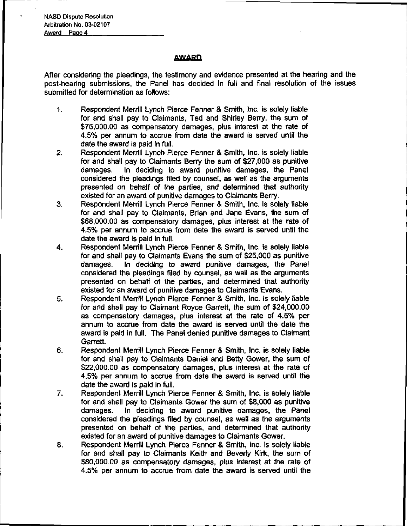# **AWARD**

After considering the pleadings, the testimony and evidence presented at the hearing and the post-hearing submissions, the Panel has decided in full and final resolution of the issues submitted for determination as follows:

- 1. Respondent Merrill Lynch Pierce Fenner & Smith, Inc. is solely liable for and shall pay to Claimants, Ted and Shirley Berry, the sum of \$75,000.00 as compensatory damages, plus interest at the rate of 4.5% per annum to accrue from date the award is served until the date the award is paid in full.
- 2. Respondent Merrill Lynch Pierce Fenner & Smith, Inc. is solely liable for and shall pay to Claimants Berry the sum of \$27,000 as punitive damages. In deciding to award punitive damages, the Panel considered the pleadings filed by counsel, as well as the arguments presented on behalf of the parties, and determined that authority existed for an award of punitive damages to Claimants Berry.
- 3. Respondent Merrill Lynch Pierce Fenner & Smith, Inc. is solely liable for and shall pay to Claimants, Brian and Jane Evans, the sum of \$68,000.00 as compensatory damages, plus interest at the rate of 4.5% per annum to accrue from date the award is served until the date the award is paid in full.
- 4. Respondent Merrill Lynch Pierce Fenner & Smith, Inc. is solely liable for and shall pay to Claimants Evans the sum of \$25,000 as punitive damages. In deciding to award punitive damages, the Panel considered the pleadings filed by counsel, as well as the arguments presented on behalf of the parties, and determined that authority existed for an award of punitive damages to Claimants Evans.
- 5. Respondent Merrill Lynch Pierce Fenner & Smith, Inc. is solely liable for and shall pay to Claimant Royce Garrett, the sum of \$24,000.00 as compensatory damages, plus interest at the rate of 4.5% per annum to accrue from date the award is served until the date the award is paid in full. The Panel denied punitive damages to Claimant Garrett.
- 6. Respondent Merrill Lynch Pierce Fenner & Smith, Inc. is solely liable for and shall pay to Claimants Daniel and Betty Gower, the sum of \$22,000.00 as compensatory damages, plus interest at the rate of 4.5% per annum to accrue from date the award is served until the date the award is paid in full.
- 7. Respondent Merrill Lynch Pierce Fenner & Smith, Inc. is solely liable for and shall pay to Claimants Gower the sum of \$8,000 as punitive damages. In deciding to award punitive damages, the Panel considered the pleadings filed by counsel, as well as the arguments presented on behalf of the parties, and determined that authority existed for an award of punitive damages to Claimants Gower.
- 8. Respondent Merrill Lynch Pierce Fenner & Smith, Inc. is solely liable for and shall pay to Claimants Keith and Beverly Kirk, the sum of \$80,000.00 as compensatory damages, plus interest at the rate of 4.5% per annum to accrue from date the award is served until the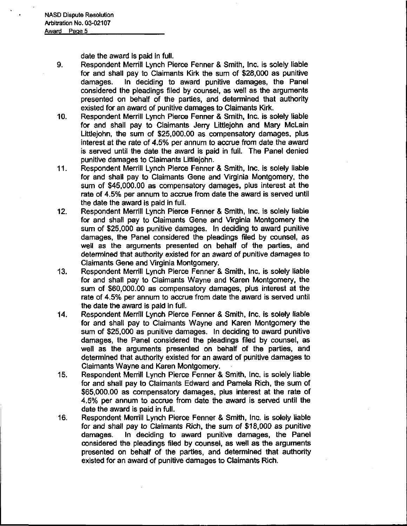date the award is paid in full.

- 9. Respondent Merrill Lynch Pierce Fenner & Smith, Inc. is solely liable for and shall pay to Claimants Kirk the sum of \$28,000 as punitive damages. In deciding to award punitive damages, the Panel considered the pleadings filed by counsel, as well as the arguments presented on behalf of the parties, and determined that authority existed for an award of punitive damages to Claimants Kirk.
- 10. Respondent Merrill Lynch Pierce Fenner & Smith, Inc. is solely liable for and shall pay to Claimants Jerry Littlejohn and Mary McLain Littlejohn, the sum of \$25,000.00 as compensatory damages, plus interest at the rate of 4.5% per annum to accrue from date the award is served until the date the award is paid in full. The Panel denied punitive damages to Claimants Littlejohn.
- 11. Respondent Merrill Lynch Pierce Fenner & Smith, Inc. is solely liable for and shall pay to Claimants Gene and Virginia Montgomery, the sum of \$45,000.00 as compensatory damages, plus interest at the rate of 4.5% per annum to accrue from date the award is served until the date the award is paid in full.
- 12. Respondent Merrill Lynch Pierce Fenner & Smith, Inc. is solely liable for and shall pay to Claimants Gene and Virginia Montgomery the sum of \$25,000 as punitive damages. In deciding to award punitive damages, the Panel considered the pleadings filed by counsel, as well as the arguments presented on behalf of the parties, and determined that authority existed for an award of punitive damages to Claimants Gene and Virginia Montgomery.
- 13. Respondent Merrill Lynch Pierce Fenner & Smith, Inc. is solely liable for and shall pay to Claimants Wayne and Karen Montgomery, the sum of \$60,000.00 as compensatory damages, plus interest at the rate of 4.5% per annum to accrue from date the award is served until the date the award is paid in full.
- 14. Respondent Merrill Lynch Pierce Fenner & Smith, Inc. is solely liable for and shall pay to Claimants Wayne and Karen Montgomery the sum of \$25,000 as punitive damages. In deciding to award punitive damages, the Panel considered the pleadings filed by counsel, as well as the arguments presented on behalf of the parties, and determined that authority existed for an award of punitive damages to Claimants Wayne and Karen Montgomery.
- 15. Respondent Merrill Lynch Pierce Fenner & Smith, Inc. is solely liable for and shall pay to Claimants Edward and Pamela Rich, the sum of \$65,000.00 as compensatory damages, plus interest at the rate of 4.5% per annum to accrue from date the award is served until the date the award is paid in full.
- 16. Respondent Merrill Lynch Pierce Fenner & Smith, Inc. is solely liable for and shall pay to Claimants Rich, the sum of \$18,000 as punitive damages. In deciding to award punitive damages, the Panel considered the pleadings filed by counsel, as well as the arguments presented on behalf of the parties, and determined that authority existed for an award of punitive damages to Claimants Rich.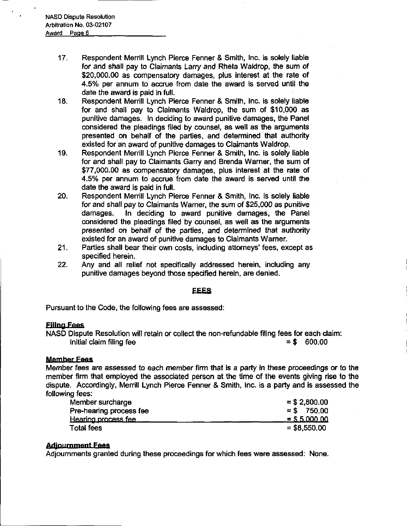- 17. Respondent Merrill Lynch Pierce Fenner & Smith, Inc. is solely liable for and shall pay to Claimants Larry and Rheta Waldrop, the sum of \$20,000.00 as compensatory damages, plus interest at the rate of 4.5% per annum to accrue from date the award is served until the date the award is paid in full.
- 18. Respondent Merrill Lynch Pierce Fenner & Smith, Inc. is solely liable for and shall pay to Claimants Waldrop, the sum of \$10,000 as punitive damages. In deciding to award punitive damages, the Panel considered the pleadings filed by counsel, as well as the arguments presented on behalf of the parties, and determined that authority existed for an award of punitive damages to Claimants Waldrop.
- 19. Respondent Merrill Lynch Pierce Fenner & Smith, Inc. is solely liable for and shall pay to Claimants Garry and Brenda Warner, the sum of \$77,000.00 as compensatory damages, plus interest at the rate of 4.5% per annum to accrue from date the award is served until the date the award is paid in full.
- 20. Respondent Merrill Lynch Pierce Fenner & Smith, Inc. is solely liable for and shall pay to Claimants Warner, the sum of \$25,000 as punitive damages. In deciding to award punitive damages, the Panel considered the pleadings filed by counsel, as well as the arguments presented on behalf of the parties, and determined that authority existed for an award of punitive damages to Claimants Warner.
- 21. Parties shall bear their own costs, including attorneys' fees, except as specified herein.
- 22. Any and all relief not specifically addressed herein, including any punitive damages beyond those specified herein, are denied.

# **EEES**

Pursuant to the Code, the following fees are assessed:

# Filing Fees

NASD Dispute Resolution will retain or collect the non-refundable filing fees for each claim: Initial claim filing fee  $\qquad \qquad = \$ \quad 600.00$ 

# Member Fees

Member fees are assessed to each member firm that is a party in these proceedings or to the member firm that employed the associated person at the time of the events giving rise to the following fees:

| dispute. Accordingly, Merrill Lynch Pierce Fenner & Smith, Inc. is a party and is assessed the |                 |
|------------------------------------------------------------------------------------------------|-----------------|
| following fees:                                                                                |                 |
| Member surcharge                                                                               | $= $2,800.00$   |
| Pre-hearing process fee                                                                        | $=$ \$ 750.00   |
| Hearing process fee                                                                            | $=$ \$ 5.000.00 |
| <b>Total fees</b>                                                                              | $= $8,550,00$   |
|                                                                                                |                 |

# **Adjournment Fees**

Adjournments granted during these proceedings for which fees were assessed: None.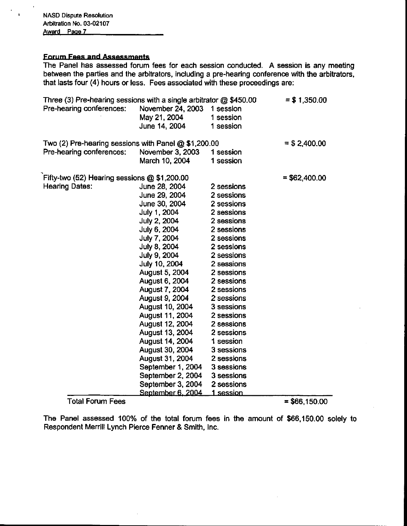# <u>ees and</u>

The Panel has assessed forum fees for each session conducted. A session is any meeting between the parties and the arbitrators, including a pre-hearing conference with the arbitrators, that lasts four (4) hours or less. Fees associated with these proceedings are:

| Three (3) Pre-hearing sessions with a single arbitrator $@$ \$450.00 |                             |            | $= $1,350.00$   |
|----------------------------------------------------------------------|-----------------------------|------------|-----------------|
| Pre-hearing conferences:                                             | November 24, 2003 1 session |            |                 |
|                                                                      | May 21, 2004                | 1 session  |                 |
|                                                                      | June 14, 2004               | 1 session  |                 |
| Two (2) Pre-hearing sessions with Panel $@$ \$1,200.00               |                             |            | $=$ \$ 2,400.00 |
| Pre-hearing conferences:                                             | November 3, 2003            | 1 session  |                 |
|                                                                      | March 10, 2004              | 1 session  |                 |
| Fifty-two (52) Hearing sessions $@$ \$1,200.00                       |                             |            | $= $62,400.00$  |
| <b>Hearing Dates:</b>                                                | June 28, 2004               | 2 sessions |                 |
|                                                                      | June 29, 2004               | 2 sessions |                 |
|                                                                      | June 30, 2004               | 2 sessions |                 |
|                                                                      | July 1, 2004                | 2 sessions |                 |
|                                                                      | July 2, 2004                | 2 sessions |                 |
|                                                                      | July 6, 2004                | 2 sessions |                 |
|                                                                      | July 7, 2004                | 2 sessions |                 |
|                                                                      | July 8, 2004                | 2 sessions |                 |
|                                                                      | July 9, 2004                | 2 sessions |                 |
|                                                                      | July 10, 2004               | 2 sessions |                 |
|                                                                      | August 5, 2004              | 2 sessions |                 |
|                                                                      | August 6, 2004              | 2 sessions |                 |
|                                                                      | August 7, 2004              | 2 sessions |                 |
|                                                                      | August 9, 2004              | 2 sessions |                 |
|                                                                      | August 10, 2004             | 3 sessions |                 |
|                                                                      | August 11, 2004             | 2 sessions |                 |
|                                                                      | August 12, 2004             | 2 sessions |                 |
|                                                                      | August 13, 2004             | 2 sessions |                 |
|                                                                      | August 14, 2004             | 1 session  |                 |
|                                                                      | August 30, 2004             | 3 sessions |                 |
|                                                                      | August 31, 2004             | 2 sessions |                 |
|                                                                      | September 1, 2004           | 3 sessions |                 |
|                                                                      | September 2, 2004           | 3 sessions |                 |
|                                                                      | September 3, 2004           | 2 sessions |                 |
|                                                                      | September 6, 2004           | 1 session  |                 |

# $Total Forum Fees$  = \$66,150.00

The Panel assessed 100% of the total forum fees in the amount of \$66,150.00 solely to Respondent Merrill Lynch Pierce Fenner & Smith, Inc.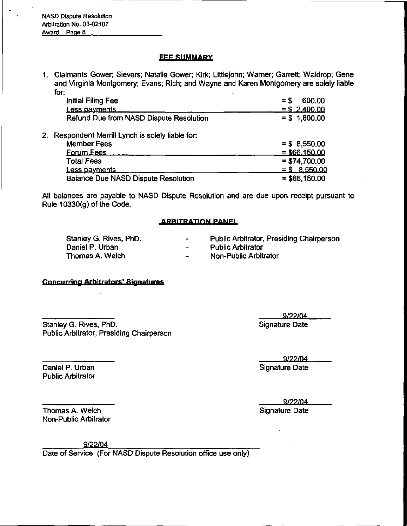NASD Dispute Resolution Arbitration No. 03-02107 Award Page 8

# **FEE SUMMARY**

1. Claimants Gower; Sievers; Natalie Gower; Kirk; Littlejohn; Warner; Garrett; Waldrop; Gene<br>
and Virginia Montgomery; Evans; Rich; and Wayne and Karen Montgomery are solely liable<br>
for:<br>
Initial Filing Fee<br>
Less payments and Virginia Montgomery; Evans; Rich; and Wayne and Karen Montgomery are solely liable for:

| Initial Filing Fee                             | 600.00<br>$=$ \$ |
|------------------------------------------------|------------------|
| Less payments                                  | $=$ \$2.400.00   |
| Refund Due from NASD Dispute Resolution        | $= $1,800.00$    |
| Respondent Merrill Lynch is solely liable for: |                  |
| <b>Member Fees</b>                             | $= $8,550.00$    |
| <b>Forum Fees</b>                              | $=$ \$66,150.00  |
| <b>Total Fees</b>                              | $= $74,700.00$   |
| Less payments                                  | $=$ \$ 8.550.00  |
| <b>Balance Due NASD Dispute Resolution</b>     | $= $66,150.00$   |

All balances are payable to NASD Dispute Resolution and are due upon receipt pursuant to Rule 10330(g) of the Code.

# **ARBITRATION PANEL**

| Stanley G. Rives, PhD. | $\overline{\phantom{0}}$ | Public Arbitrator, Presiding Chairperson |
|------------------------|--------------------------|------------------------------------------|
| Daniel P. Urban        | <b>Contract Contract</b> | <b>Public Arbitrator</b>                 |
| Thomas A. Welch        | $\sim$                   | Non-Public Arbitrator                    |

# Concurring Arbitrators' Signatures

Stanley G. Rives, PhD. Stanley G. Rives, PhD. Public Arbitrator, Presiding Chairperson

5/22/04

Daniel P. Urban Signature Date Signature Date

9/22/04

Thomas A. Welch Signature Date Signature Date Non-Public Arbitrator

Public Arbitrator

9/22/Q4

Date of Service (For NASD Dispute Resolution office use only)

9/22/04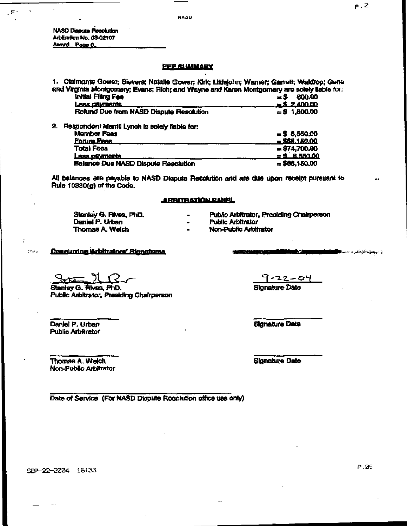**NASD Dispute Pesolution** Arbttmttan No. 03-02107 Award Page 6

S

### **FEE SHIMMARY**

1. Claimants Gower; Sievers; Natalle Gower; Kirk; Littlelphn; Warner; Garrett; Waldrop; Gene and Virginia Montgomery; Evans; Rich; and Wayne and Karen Montgomery are solely liable for:

|    | Initial Filing Fee                             | 600.00<br>- 5     |
|----|------------------------------------------------|-------------------|
|    | <u>Less davments</u>                           | $= 2.400.00$      |
|    | Refund Due from NASD Dispute Resolution        | $= $1,800.00$     |
| 2. | Respondent Merrill Lynch is solely liable for: |                   |
|    | <b>Member Fees</b>                             | $= $ 8,550,00$    |
|    | <b>Forum Fees</b>                              | <b>B66.150.00</b> |
|    | <b>Total Fees</b>                              | $= $74,700.00$    |
|    | ess payments                                   | $=$ \$ 8.550.00   |

 $B$ alance Due NASD Dispute Resolution  $= $66,150.00$ 

AH balances are payable to NASD Dispute Resolution and are due upon receipt pursuant to Rule  $10330(g)$  of the Code.

#### <u>ARBITRATION PANEL</u>

| Stanley G. Rives, PhD. | $\blacksquare$ | Public Arbitrator, Presiding Chairperson |
|------------------------|----------------|------------------------------------------|
| Daniel P. Urban        | $\blacksquare$ | <b>Public Arbitrator</b>                 |
| <b>Thomas A. Weich</b> | $\blacksquare$ | Non-Public Arbitrator                    |

Concurring Arbitrators' Signatures

Stanley G. Rives, PhD. Signature Date Public Arbitrator, Presiding Chairperson

Daniel P. Urban Signature Data Signature Data **Public Arbitrator** 

 $\mathcal{C}(\mathcal{P}_{\mathbf{c}(\mathbf{c})})$ 

Thomas A. Welch Signature Date Signature Date Non-Public Arbitrator

Date of Service (For NASD Dispute Resolution office use only)

SEP-22-2004 16:33

P.09 r's contrary of the contrary of the contrary of the contrary of the contrary of  $\mathsf{P}$  .  $\partial \mathbb{P}$ 

د ارو<mark>هنوی</mark> کاردکار ۲۰۰<del>۰</del>

p.2

9-22-04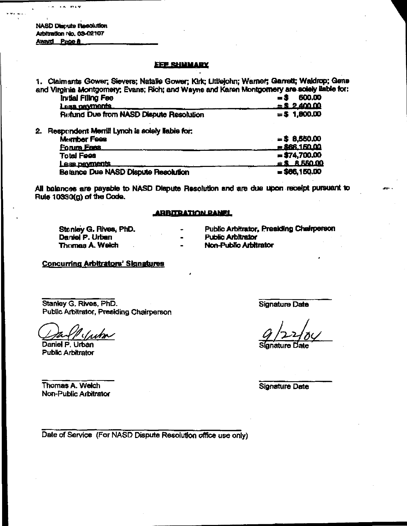NASD (Maputo Resolution Arbitration No. 03-02107 **Award Page &** 

### <u>EFF SHUMARY</u>

1. Claimants Gower; Sievers; Natalle Gower; Kirk; Littlejohn; Warner; Garrett; Waldrop; Gene and Virginia Montgomery; Evans; Rich; and Wayne and Karen Montgomery are solely liable for:

| Initial Filing Fee                      | 600.00          |
|-----------------------------------------|-----------------|
| <u>Less nevments</u>                    | $= $2,400,00$   |
| Refund Due from NASD Dispute Resolution | $=$ \$ 1,800.00 |
|                                         |                 |

2. Respondent Merrill Lynch Is solely liable for:

| Member Fees                         | $=$ \$ 8,550.00        |
|-------------------------------------|------------------------|
| <u>Forum Fees</u>                   | $= $66.150.00$         |
| <b>Total Fees</b>                   | $= $74,700.00$         |
| Less payments                       | $\angle$ \$ $R$ 550.00 |
| Betance Due NASD Dispute Resolution | $= $66,150,00$         |

All balances are payable to NASD Dispute Resolution and are due upon receipt pursuant to Rule 1 0330(g) of the Code.

### **ARBITRATION PANEL**

Stanley G. Rives, PhD. Daniel P. Urban Thomas A. Welch

Public Arbitrator, Presiding Chairperson

Public Arbitrator

Non-Public Arbitrator

# Concurring Arbitrators' Signatures

Stanley G. Rives, PhD. Public Arbitrator, Presiding Chairperson

um

Daniel P. Urban Public Arbitrator

Signature Date

Thomas A. Welch Non-Public Arbitrator Signature Date

Dale of Service (For NASD Dispute Resolution office use only)